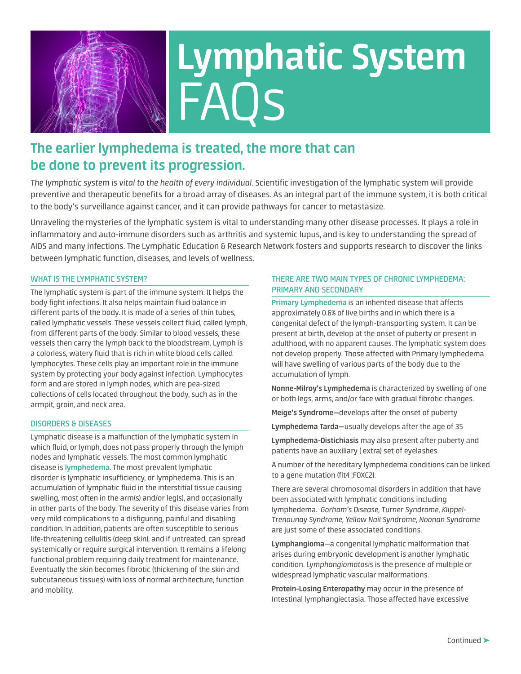

# **Lymphatic System** FAQs

# **The earlier lymphedema is treated, the more that can be done to prevent its progression.**

*The lymphatic system is vital to the health of every individual*. Scientific investigation of the lymphatic system will provide preventive and therapeutic benefits for a broad array of diseases. As an integral part of the immune system, it is both critical to the body's surveillance against cancer, and it can provide pathways for cancer to metastasize.

Unraveling the mysteries of the lymphatic system is vital to understanding many other disease processes. It plays a role in inflammatory and auto-immune disorders such as arthritis and systemic lupus, and is key to understanding the spread of AIDS and many infections. The Lymphatic Education & Research Network fosters and supports research to discover the links between lymphatic function, diseases, and levels of wellness.

## **WHAT IS THE LYMPHATIC SYSTEM?**

The lymphatic system is part of the immune system. It helps the body fight infections. It also helps maintain fluid balance in different parts of the body. It is made of a series of thin tubes, called lymphatic vessels. These vessels collect fluid, called lymph, from different parts of the body. Similar to blood vessels, these vessels then carry the lymph back to the bloodstream. Lymph is a colorless, watery fluid that is rich in white blood cells called lymphocytes. These cells play an important role in the immune system by protecting your body against infection. Lymphocytes form and are stored in lymph nodes, which are pea-sized collections of cells located throughout the body, such as in the armpit, groin, and neck area.

#### **DISORDERS & DISEASES**

Lymphatic disease is a malfunction of the lymphatic system in which fluid, or lymph, does not pass properly through the lymph nodes and lymphatic vessels. The most common lymphatic disease is **lymphedema**. The most prevalent lymphatic disorder is lymphatic insufficiency, or lymphedema. This is an accumulation of lymphatic fluid in the interstitial tissue causing swelling, most often in the arm(s) and/or leg(s), and occasionally in other parts of the body. The severity of this disease varies from very mild complications to a disfiguring, painful and disabling condition. In addition, patients are often susceptible to serious life-threatening cellulitis (deep skin), and if untreated, can spread systemically or require surgical intervention. It remains a lifelong functional problem requiring daily treatment for maintenance. Eventually the skin becomes fibrotic (thickening of the skin and subcutaneous tissues) with loss of normal architecture, function and mobility.

# **THERE ARE TWO MAIN TYPES OF CHRONIC LYMPHEDEMA: PRIMARY AND SECONDARY**

**Primary Lymphedema** is an inherited disease that affects approximately 0.6% of live births and in which there is a congenital defect of the lymph-transporting system. It can be present at birth, develop at the onset of puberty or present in adulthood, with no apparent causes. The lymphatic system does not develop properly. Those affected with Primary lymphedema will have swelling of various parts of the body due to the accumulation of lymph.

**Nonne-Milroy's Lymphedema** is characterized by swelling of one or both legs, arms, and/or face with gradual fibrotic changes.

**Meige's Syndrome—**develops after the onset of puberty

**Lymphedema Tarda—**usually develops after the age of 35

**Lymphedema-Distichiasis** may also present after puberty and patients have an auxiliary ( extra) set of eyelashes.

A number of the hereditary lymphedema conditions can be linked to a gene mutation (flt4 ;FOXC2).

There are several chromosomal disorders in addition that have been associated with lymphatic conditions including lymphedema. *Gorham's Disease, Turner Syndrome, Klippel-Trenaunay Syndrome, Yellow Nail Syndrome, Noonan Syndrome*  are just some of these associated conditions.

**Lymphangioma**—a congenital lymphatic malformation that arises during embryonic development is another lymphatic condition. *Lymphangiomatosis* is the presence of multiple or widespread lymphatic vascular malformations.

**Protein-Losing Enteropathy** may occur in the presence of Intestinal lymphangiectasia. Those affected have excessive